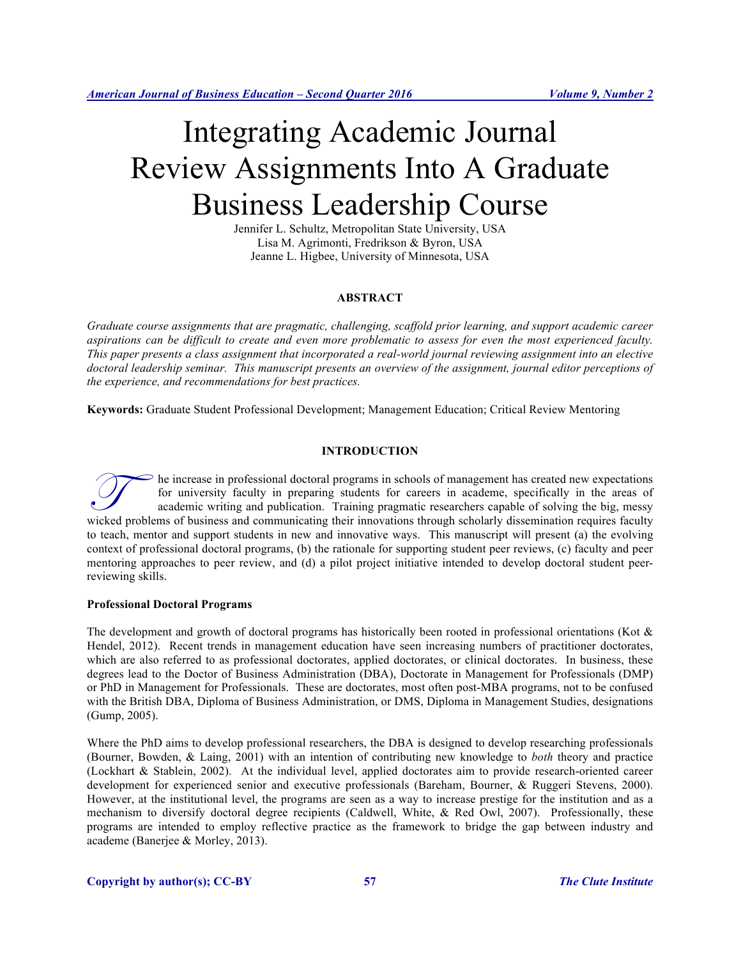# Integrating Academic Journal Review Assignments Into A Graduate Business Leadership Course

Jennifer L. Schultz, Metropolitan State University, USA Lisa M. Agrimonti, Fredrikson & Byron, USA Jeanne L. Higbee, University of Minnesota, USA

# **ABSTRACT**

*Graduate course assignments that are pragmatic, challenging, scaffold prior learning, and support academic career aspirations can be difficult to create and even more problematic to assess for even the most experienced faculty. This paper presents a class assignment that incorporated a real-world journal reviewing assignment into an elective doctoral leadership seminar. This manuscript presents an overview of the assignment, journal editor perceptions of the experience, and recommendations for best practices.*

**Keywords:** Graduate Student Professional Development; Management Education; Critical Review Mentoring

## **INTRODUCTION**

he increase in professional doctoral programs in schools of management has created new expectations for university faculty in preparing students for careers in academe, specifically in the areas of academic writing and publication. Training pragmatic researchers capable of solving the big, messy The increase in professional doctoral programs in schools of management has created new expectations for university faculty in preparing students for careers in academe, specifically in the areas of academic writing and pu to teach, mentor and support students in new and innovative ways. This manuscript will present (a) the evolving context of professional doctoral programs, (b) the rationale for supporting student peer reviews, (c) faculty and peer mentoring approaches to peer review, and (d) a pilot project initiative intended to develop doctoral student peerreviewing skills.

## **Professional Doctoral Programs**

The development and growth of doctoral programs has historically been rooted in professional orientations (Kot & Hendel, 2012). Recent trends in management education have seen increasing numbers of practitioner doctorates, which are also referred to as professional doctorates, applied doctorates, or clinical doctorates. In business, these degrees lead to the Doctor of Business Administration (DBA), Doctorate in Management for Professionals (DMP) or PhD in Management for Professionals. These are doctorates, most often post-MBA programs, not to be confused with the British DBA, Diploma of Business Administration, or DMS, Diploma in Management Studies, designations (Gump, 2005).

Where the PhD aims to develop professional researchers, the DBA is designed to develop researching professionals (Bourner, Bowden, & Laing, 2001) with an intention of contributing new knowledge to *both* theory and practice (Lockhart & Stablein, 2002). At the individual level, applied doctorates aim to provide research-oriented career development for experienced senior and executive professionals (Bareham, Bourner, & Ruggeri Stevens, 2000). However, at the institutional level, the programs are seen as a way to increase prestige for the institution and as a mechanism to diversify doctoral degree recipients (Caldwell, White, & Red Owl, 2007). Professionally, these programs are intended to employ reflective practice as the framework to bridge the gap between industry and academe (Banerjee & Morley, 2013).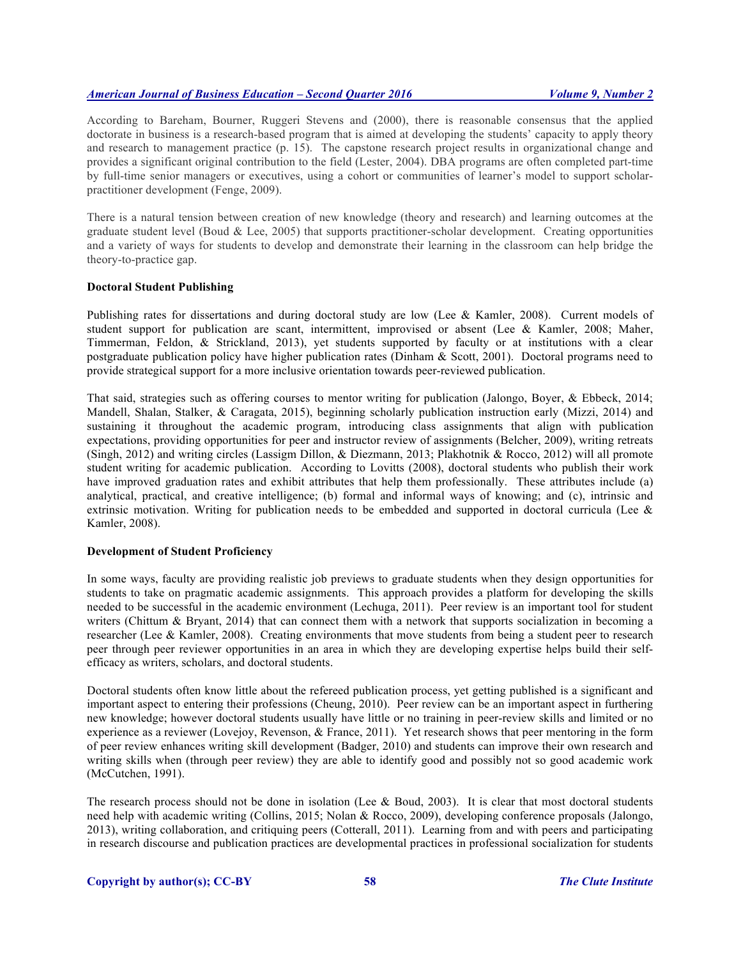According to Bareham, Bourner, Ruggeri Stevens and (2000), there is reasonable consensus that the applied doctorate in business is a research-based program that is aimed at developing the students' capacity to apply theory and research to management practice (p. 15). The capstone research project results in organizational change and provides a significant original contribution to the field (Lester, 2004). DBA programs are often completed part-time by full-time senior managers or executives, using a cohort or communities of learner's model to support scholarpractitioner development (Fenge, 2009).

There is a natural tension between creation of new knowledge (theory and research) and learning outcomes at the graduate student level (Boud & Lee, 2005) that supports practitioner-scholar development. Creating opportunities and a variety of ways for students to develop and demonstrate their learning in the classroom can help bridge the theory-to-practice gap.

#### **Doctoral Student Publishing**

Publishing rates for dissertations and during doctoral study are low (Lee & Kamler, 2008). Current models of student support for publication are scant, intermittent, improvised or absent (Lee & Kamler, 2008; Maher, Timmerman, Feldon, & Strickland, 2013), yet students supported by faculty or at institutions with a clear postgraduate publication policy have higher publication rates (Dinham & Scott, 2001). Doctoral programs need to provide strategical support for a more inclusive orientation towards peer-reviewed publication.

That said, strategies such as offering courses to mentor writing for publication (Jalongo, Boyer, & Ebbeck, 2014; Mandell, Shalan, Stalker, & Caragata, 2015), beginning scholarly publication instruction early (Mizzi, 2014) and sustaining it throughout the academic program, introducing class assignments that align with publication expectations, providing opportunities for peer and instructor review of assignments (Belcher, 2009), writing retreats (Singh, 2012) and writing circles (Lassigm Dillon, & Diezmann, 2013; Plakhotnik & Rocco, 2012) will all promote student writing for academic publication. According to Lovitts (2008), doctoral students who publish their work have improved graduation rates and exhibit attributes that help them professionally. These attributes include (a) analytical, practical, and creative intelligence; (b) formal and informal ways of knowing; and (c), intrinsic and extrinsic motivation. Writing for publication needs to be embedded and supported in doctoral curricula (Lee & Kamler, 2008).

## **Development of Student Proficiency**

In some ways, faculty are providing realistic job previews to graduate students when they design opportunities for students to take on pragmatic academic assignments. This approach provides a platform for developing the skills needed to be successful in the academic environment (Lechuga, 2011). Peer review is an important tool for student writers (Chittum & Bryant, 2014) that can connect them with a network that supports socialization in becoming a researcher (Lee & Kamler, 2008). Creating environments that move students from being a student peer to research peer through peer reviewer opportunities in an area in which they are developing expertise helps build their selfefficacy as writers, scholars, and doctoral students.

Doctoral students often know little about the refereed publication process, yet getting published is a significant and important aspect to entering their professions (Cheung, 2010). Peer review can be an important aspect in furthering new knowledge; however doctoral students usually have little or no training in peer-review skills and limited or no experience as a reviewer (Lovejoy, Revenson, & France, 2011). Yet research shows that peer mentoring in the form of peer review enhances writing skill development (Badger, 2010) and students can improve their own research and writing skills when (through peer review) they are able to identify good and possibly not so good academic work (McCutchen, 1991).

The research process should not be done in isolation (Lee & Boud, 2003). It is clear that most doctoral students need help with academic writing (Collins, 2015; Nolan & Rocco, 2009), developing conference proposals (Jalongo, 2013), writing collaboration, and critiquing peers (Cotterall, 2011). Learning from and with peers and participating in research discourse and publication practices are developmental practices in professional socialization for students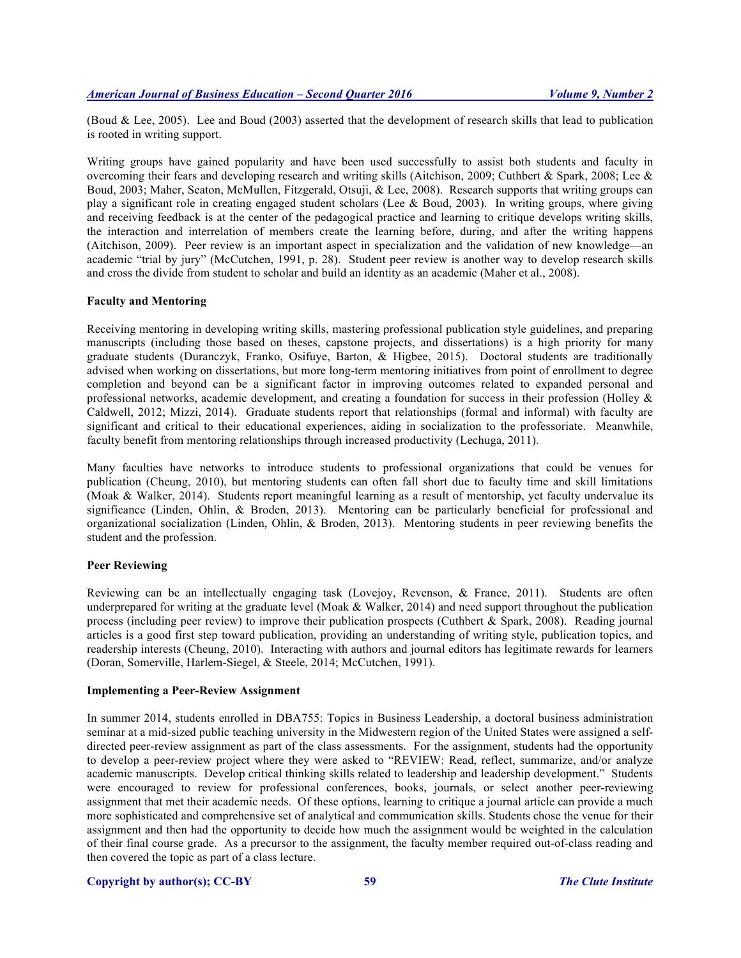(Boud & Lee, 2005). Lee and Boud (2003) asserted that the development of research skills that lead to publication is rooted in writing support.

Writing groups have gained popularity and have been used successfully to assist both students and faculty in overcoming their fears and developing research and writing skills (Aitchison, 2009; Cuthbert & Spark, 2008; Lee & Boud, 2003; Maher, Seaton, McMullen, Fitzgerald, Otsuji, & Lee, 2008). Research supports that writing groups can play a significant role in creating engaged student scholars (Lee & Boud, 2003). In writing groups, where giving and receiving feedback is at the center of the pedagogical practice and learning to critique develops writing skills, the interaction and interrelation of members create the learning before, during, and after the writing happens (Aitchison, 2009). Peer review is an important aspect in specialization and the validation of new knowledge—an academic "trial by jury" (McCutchen, 1991, p. 28). Student peer review is another way to develop research skills and cross the divide from student to scholar and build an identity as an academic (Maher et al., 2008).

## **Faculty and Mentoring**

Receiving mentoring in developing writing skills, mastering professional publication style guidelines, and preparing manuscripts (including those based on theses, capstone projects, and dissertations) is a high priority for many graduate students (Duranczyk, Franko, Osifuye, Barton, & Higbee, 2015). Doctoral students are traditionally advised when working on dissertations, but more long-term mentoring initiatives from point of enrollment to degree completion and beyond can be a significant factor in improving outcomes related to expanded personal and professional networks, academic development, and creating a foundation for success in their profession (Holley & Caldwell, 2012; Mizzi, 2014). Graduate students report that relationships (formal and informal) with faculty are significant and critical to their educational experiences, aiding in socialization to the professoriate. Meanwhile, faculty benefit from mentoring relationships through increased productivity (Lechuga, 2011).

Many faculties have networks to introduce students to professional organizations that could be venues for publication (Cheung, 2010), but mentoring students can often fall short due to faculty time and skill limitations (Moak & Walker, 2014). Students report meaningful learning as a result of mentorship, yet faculty undervalue its significance (Linden, Ohlin, & Broden, 2013). Mentoring can be particularly beneficial for professional and organizational socialization (Linden, Ohlin, & Broden, 2013). Mentoring students in peer reviewing benefits the student and the profession.

## **Peer Reviewing**

Reviewing can be an intellectually engaging task (Lovejoy, Revenson, & France, 2011). Students are often underprepared for writing at the graduate level (Moak & Walker, 2014) and need support throughout the publication process (including peer review) to improve their publication prospects (Cuthbert & Spark, 2008). Reading journal articles is a good first step toward publication, providing an understanding of writing style, publication topics, and readership interests (Cheung, 2010). Interacting with authors and journal editors has legitimate rewards for learners (Doran, Somerville, Harlem-Siegel, & Steele, 2014; McCutchen, 1991).

#### **Implementing a Peer-Review Assignment**

In summer 2014, students enrolled in DBA755: Topics in Business Leadership, a doctoral business administration seminar at a mid-sized public teaching university in the Midwestern region of the United States were assigned a selfdirected peer-review assignment as part of the class assessments. For the assignment, students had the opportunity to develop a peer-review project where they were asked to "REVIEW: Read, reflect, summarize, and/or analyze academic manuscripts. Develop critical thinking skills related to leadership and leadership development." Students were encouraged to review for professional conferences, books, journals, or select another peer-reviewing assignment that met their academic needs. Of these options, learning to critique a journal article can provide a much more sophisticated and comprehensive set of analytical and communication skills. Students chose the venue for their assignment and then had the opportunity to decide how much the assignment would be weighted in the calculation of their final course grade. As a precursor to the assignment, the faculty member required out-of-class reading and then covered the topic as part of a class lecture.

#### **Copyright by author(s); CC-BY 59** *The Clute Institute*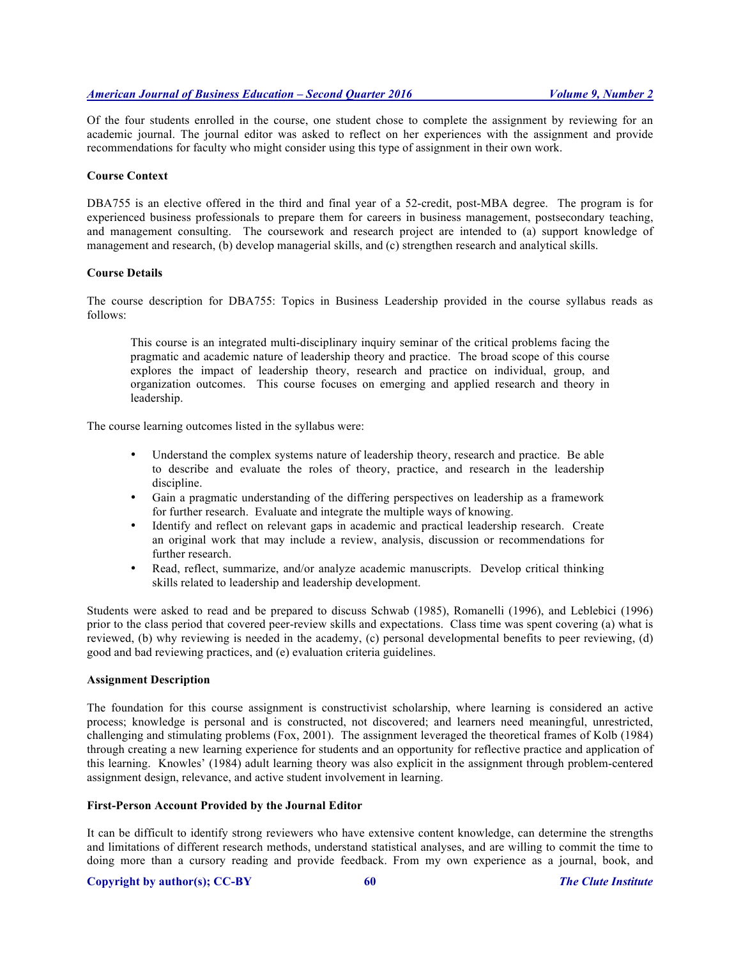Of the four students enrolled in the course, one student chose to complete the assignment by reviewing for an academic journal. The journal editor was asked to reflect on her experiences with the assignment and provide recommendations for faculty who might consider using this type of assignment in their own work.

## **Course Context**

DBA755 is an elective offered in the third and final year of a 52-credit, post-MBA degree. The program is for experienced business professionals to prepare them for careers in business management, postsecondary teaching, and management consulting. The coursework and research project are intended to (a) support knowledge of management and research, (b) develop managerial skills, and (c) strengthen research and analytical skills.

## **Course Details**

The course description for DBA755: Topics in Business Leadership provided in the course syllabus reads as follows:

This course is an integrated multi-disciplinary inquiry seminar of the critical problems facing the pragmatic and academic nature of leadership theory and practice. The broad scope of this course explores the impact of leadership theory, research and practice on individual, group, and organization outcomes. This course focuses on emerging and applied research and theory in leadership.

The course learning outcomes listed in the syllabus were:

- Understand the complex systems nature of leadership theory, research and practice. Be able to describe and evaluate the roles of theory, practice, and research in the leadership discipline.
- Gain a pragmatic understanding of the differing perspectives on leadership as a framework for further research. Evaluate and integrate the multiple ways of knowing.
- Identify and reflect on relevant gaps in academic and practical leadership research. Create an original work that may include a review, analysis, discussion or recommendations for further research.
- Read, reflect, summarize, and/or analyze academic manuscripts. Develop critical thinking skills related to leadership and leadership development.

Students were asked to read and be prepared to discuss Schwab (1985), Romanelli (1996), and Leblebici (1996) prior to the class period that covered peer-review skills and expectations. Class time was spent covering (a) what is reviewed, (b) why reviewing is needed in the academy, (c) personal developmental benefits to peer reviewing, (d) good and bad reviewing practices, and (e) evaluation criteria guidelines.

#### **Assignment Description**

The foundation for this course assignment is constructivist scholarship, where learning is considered an active process; knowledge is personal and is constructed, not discovered; and learners need meaningful, unrestricted, challenging and stimulating problems (Fox, 2001). The assignment leveraged the theoretical frames of Kolb (1984) through creating a new learning experience for students and an opportunity for reflective practice and application of this learning. Knowles' (1984) adult learning theory was also explicit in the assignment through problem-centered assignment design, relevance, and active student involvement in learning.

# **First-Person Account Provided by the Journal Editor**

It can be difficult to identify strong reviewers who have extensive content knowledge, can determine the strengths and limitations of different research methods, understand statistical analyses, and are willing to commit the time to doing more than a cursory reading and provide feedback. From my own experience as a journal, book, and

#### **Copyright by author(s); CC-BY 60** *The Clute Institute*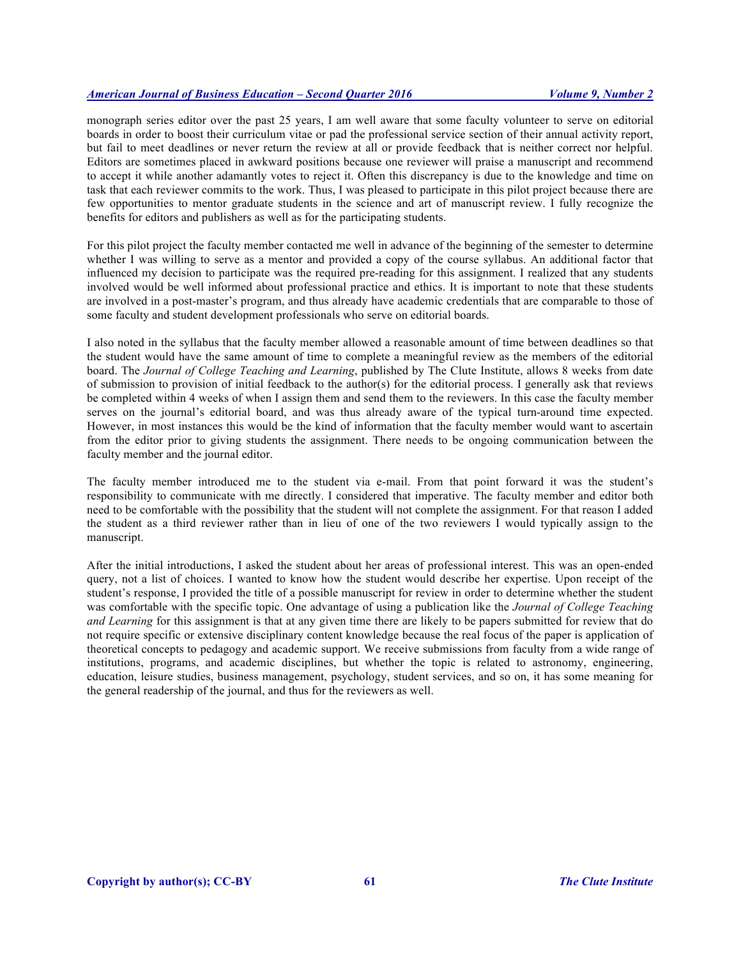monograph series editor over the past 25 years, I am well aware that some faculty volunteer to serve on editorial boards in order to boost their curriculum vitae or pad the professional service section of their annual activity report, but fail to meet deadlines or never return the review at all or provide feedback that is neither correct nor helpful. Editors are sometimes placed in awkward positions because one reviewer will praise a manuscript and recommend to accept it while another adamantly votes to reject it. Often this discrepancy is due to the knowledge and time on task that each reviewer commits to the work. Thus, I was pleased to participate in this pilot project because there are few opportunities to mentor graduate students in the science and art of manuscript review. I fully recognize the benefits for editors and publishers as well as for the participating students.

For this pilot project the faculty member contacted me well in advance of the beginning of the semester to determine whether I was willing to serve as a mentor and provided a copy of the course syllabus. An additional factor that influenced my decision to participate was the required pre-reading for this assignment. I realized that any students involved would be well informed about professional practice and ethics. It is important to note that these students are involved in a post-master's program, and thus already have academic credentials that are comparable to those of some faculty and student development professionals who serve on editorial boards.

I also noted in the syllabus that the faculty member allowed a reasonable amount of time between deadlines so that the student would have the same amount of time to complete a meaningful review as the members of the editorial board. The *Journal of College Teaching and Learning*, published by The Clute Institute, allows 8 weeks from date of submission to provision of initial feedback to the author(s) for the editorial process. I generally ask that reviews be completed within 4 weeks of when I assign them and send them to the reviewers. In this case the faculty member serves on the journal's editorial board, and was thus already aware of the typical turn-around time expected. However, in most instances this would be the kind of information that the faculty member would want to ascertain from the editor prior to giving students the assignment. There needs to be ongoing communication between the faculty member and the journal editor.

The faculty member introduced me to the student via e-mail. From that point forward it was the student's responsibility to communicate with me directly. I considered that imperative. The faculty member and editor both need to be comfortable with the possibility that the student will not complete the assignment. For that reason I added the student as a third reviewer rather than in lieu of one of the two reviewers I would typically assign to the manuscript.

After the initial introductions, I asked the student about her areas of professional interest. This was an open-ended query, not a list of choices. I wanted to know how the student would describe her expertise. Upon receipt of the student's response, I provided the title of a possible manuscript for review in order to determine whether the student was comfortable with the specific topic. One advantage of using a publication like the *Journal of College Teaching and Learning* for this assignment is that at any given time there are likely to be papers submitted for review that do not require specific or extensive disciplinary content knowledge because the real focus of the paper is application of theoretical concepts to pedagogy and academic support. We receive submissions from faculty from a wide range of institutions, programs, and academic disciplines, but whether the topic is related to astronomy, engineering, education, leisure studies, business management, psychology, student services, and so on, it has some meaning for the general readership of the journal, and thus for the reviewers as well.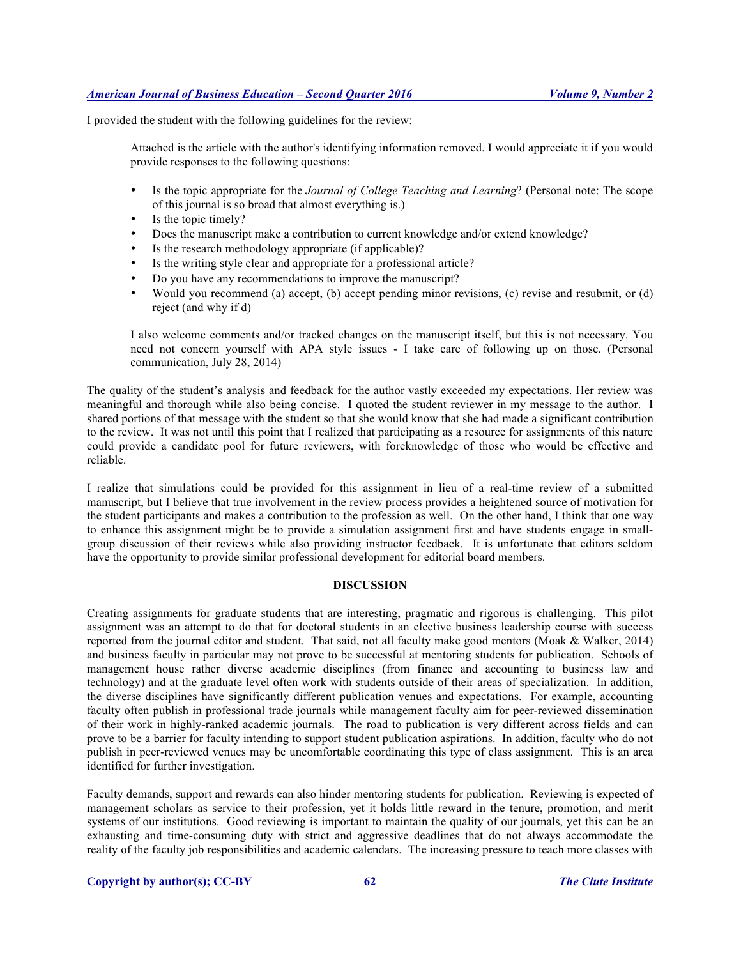I provided the student with the following guidelines for the review:

Attached is the article with the author's identifying information removed. I would appreciate it if you would provide responses to the following questions:

- Is the topic appropriate for the *Journal of College Teaching and Learning*? (Personal note: The scope of this journal is so broad that almost everything is.)
- Is the topic timely?
- Does the manuscript make a contribution to current knowledge and/or extend knowledge?
- Is the research methodology appropriate (if applicable)?<br>• Is the writing style clear and appropriate for a profession
- Is the writing style clear and appropriate for a professional article?
- Do you have any recommendations to improve the manuscript?
- Would you recommend (a) accept, (b) accept pending minor revisions, (c) revise and resubmit, or (d) reject (and why if d)

I also welcome comments and/or tracked changes on the manuscript itself, but this is not necessary. You need not concern yourself with APA style issues - I take care of following up on those. (Personal communication, July 28, 2014)

The quality of the student's analysis and feedback for the author vastly exceeded my expectations. Her review was meaningful and thorough while also being concise. I quoted the student reviewer in my message to the author. I shared portions of that message with the student so that she would know that she had made a significant contribution to the review. It was not until this point that I realized that participating as a resource for assignments of this nature could provide a candidate pool for future reviewers, with foreknowledge of those who would be effective and reliable.

I realize that simulations could be provided for this assignment in lieu of a real-time review of a submitted manuscript, but I believe that true involvement in the review process provides a heightened source of motivation for the student participants and makes a contribution to the profession as well. On the other hand, I think that one way to enhance this assignment might be to provide a simulation assignment first and have students engage in smallgroup discussion of their reviews while also providing instructor feedback. It is unfortunate that editors seldom have the opportunity to provide similar professional development for editorial board members.

## **DISCUSSION**

Creating assignments for graduate students that are interesting, pragmatic and rigorous is challenging. This pilot assignment was an attempt to do that for doctoral students in an elective business leadership course with success reported from the journal editor and student. That said, not all faculty make good mentors (Moak & Walker, 2014) and business faculty in particular may not prove to be successful at mentoring students for publication. Schools of management house rather diverse academic disciplines (from finance and accounting to business law and technology) and at the graduate level often work with students outside of their areas of specialization. In addition, the diverse disciplines have significantly different publication venues and expectations. For example, accounting faculty often publish in professional trade journals while management faculty aim for peer-reviewed dissemination of their work in highly-ranked academic journals. The road to publication is very different across fields and can prove to be a barrier for faculty intending to support student publication aspirations. In addition, faculty who do not publish in peer-reviewed venues may be uncomfortable coordinating this type of class assignment. This is an area identified for further investigation.

Faculty demands, support and rewards can also hinder mentoring students for publication. Reviewing is expected of management scholars as service to their profession, yet it holds little reward in the tenure, promotion, and merit systems of our institutions. Good reviewing is important to maintain the quality of our journals, yet this can be an exhausting and time-consuming duty with strict and aggressive deadlines that do not always accommodate the reality of the faculty job responsibilities and academic calendars. The increasing pressure to teach more classes with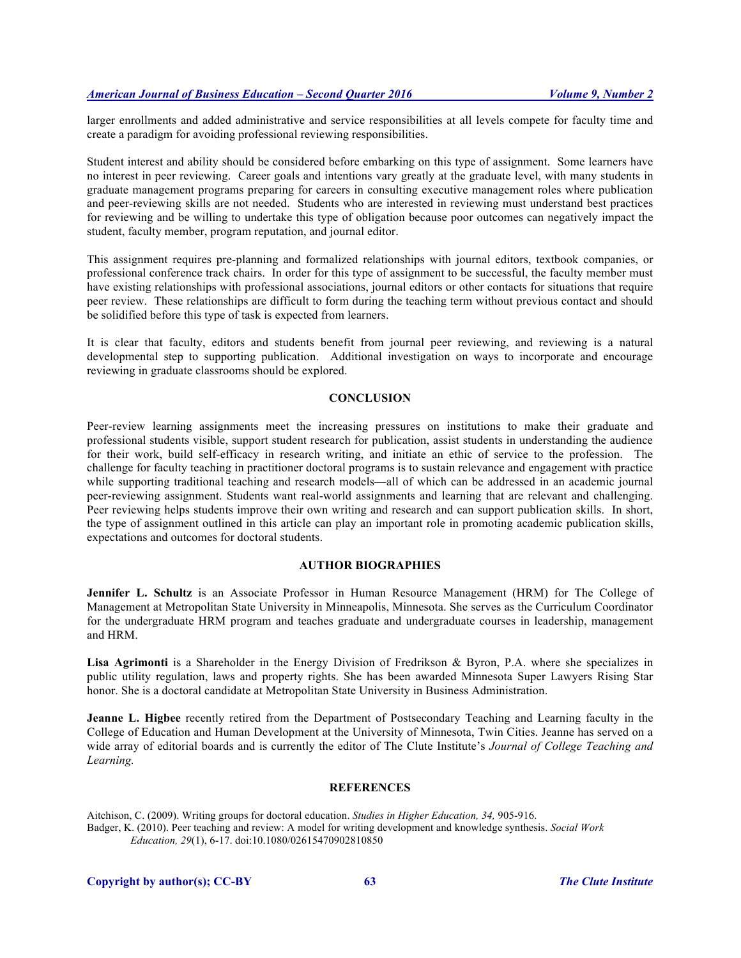larger enrollments and added administrative and service responsibilities at all levels compete for faculty time and create a paradigm for avoiding professional reviewing responsibilities.

Student interest and ability should be considered before embarking on this type of assignment. Some learners have no interest in peer reviewing. Career goals and intentions vary greatly at the graduate level, with many students in graduate management programs preparing for careers in consulting executive management roles where publication and peer-reviewing skills are not needed. Students who are interested in reviewing must understand best practices for reviewing and be willing to undertake this type of obligation because poor outcomes can negatively impact the student, faculty member, program reputation, and journal editor.

This assignment requires pre-planning and formalized relationships with journal editors, textbook companies, or professional conference track chairs. In order for this type of assignment to be successful, the faculty member must have existing relationships with professional associations, journal editors or other contacts for situations that require peer review. These relationships are difficult to form during the teaching term without previous contact and should be solidified before this type of task is expected from learners.

It is clear that faculty, editors and students benefit from journal peer reviewing, and reviewing is a natural developmental step to supporting publication. Additional investigation on ways to incorporate and encourage reviewing in graduate classrooms should be explored.

## **CONCLUSION**

Peer-review learning assignments meet the increasing pressures on institutions to make their graduate and professional students visible, support student research for publication, assist students in understanding the audience for their work, build self-efficacy in research writing, and initiate an ethic of service to the profession. The challenge for faculty teaching in practitioner doctoral programs is to sustain relevance and engagement with practice while supporting traditional teaching and research models—all of which can be addressed in an academic journal peer-reviewing assignment. Students want real-world assignments and learning that are relevant and challenging. Peer reviewing helps students improve their own writing and research and can support publication skills. In short, the type of assignment outlined in this article can play an important role in promoting academic publication skills, expectations and outcomes for doctoral students.

## **AUTHOR BIOGRAPHIES**

**Jennifer L. Schultz** is an Associate Professor in Human Resource Management (HRM) for The College of Management at Metropolitan State University in Minneapolis, Minnesota. She serves as the Curriculum Coordinator for the undergraduate HRM program and teaches graduate and undergraduate courses in leadership, management and HRM.

**Lisa Agrimonti** is a Shareholder in the Energy Division of Fredrikson & Byron, P.A. where she specializes in public utility regulation, laws and property rights. She has been awarded Minnesota Super Lawyers Rising Star honor. She is a doctoral candidate at Metropolitan State University in Business Administration.

**Jeanne L. Higbee** recently retired from the Department of Postsecondary Teaching and Learning faculty in the College of Education and Human Development at the University of Minnesota, Twin Cities. Jeanne has served on a wide array of editorial boards and is currently the editor of The Clute Institute's *Journal of College Teaching and Learning.*

#### **REFERENCES**

Aitchison, C. (2009). Writing groups for doctoral education. *Studies in Higher Education, 34,* 905-916. Badger, K. (2010). Peer teaching and review: A model for writing development and knowledge synthesis. *Social Work Education, 29*(1), 6-17. doi:10.1080/02615470902810850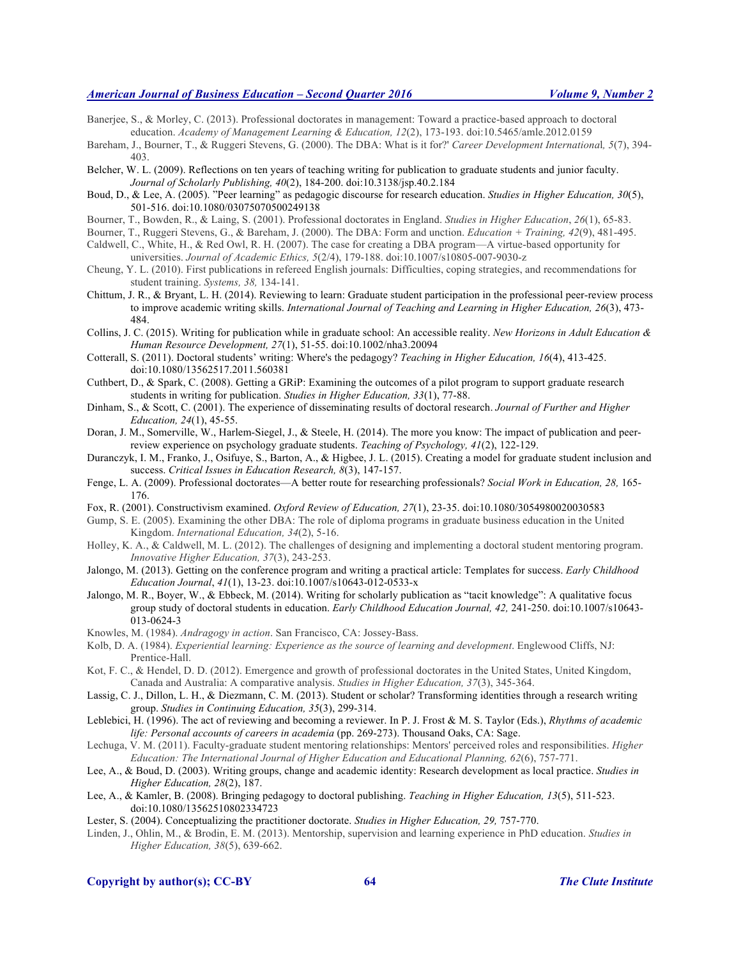Banerjee, S., & Morley, C. (2013). Professional doctorates in management: Toward a practice-based approach to doctoral education. *Academy of Management Learning & Education, 12*(2), 173-193. doi:10.5465/amle.2012.0159

- Bareham, J., Bourner, T., & Ruggeri Stevens, G. (2000). The DBA: What is it for?' *Career Development Internationa*l*, 5*(7), 394- 403.
- Belcher, W. L. (2009). Reflections on ten years of teaching writing for publication to graduate students and junior faculty. *Journal of Scholarly Publishing, 40*(2), 184-200. doi:10.3138/jsp.40.2.184
- Boud, D., & Lee, A. (2005). "Peer learning" as pedagogic discourse for research education. *Studies in Higher Education, 30*(5), 501-516. doi:10.1080/03075070500249138
- Bourner, T., Bowden, R., & Laing, S. (2001). Professional doctorates in England. *Studies in Higher Education*, *26*(1), 65-83.
- Bourner, T., Ruggeri Stevens, G., & Bareham, J. (2000). The DBA: Form and unction. *Education + Training, 42*(9), 481-495.
- Caldwell, C., White, H., & Red Owl, R. H. (2007). The case for creating a DBA program—A virtue-based opportunity for universities. *Journal of Academic Ethics, 5*(2/4), 179-188. doi:10.1007/s10805-007-9030-z
- Cheung, Y. L. (2010). First publications in refereed English journals: Difficulties, coping strategies, and recommendations for student training. *Systems, 38,* 134-141.
- Chittum, J. R., & Bryant, L. H. (2014). Reviewing to learn: Graduate student participation in the professional peer-review process to improve academic writing skills. *International Journal of Teaching and Learning in Higher Education, 26*(3), 473- 484.
- Collins, J. C. (2015). Writing for publication while in graduate school: An accessible reality. *New Horizons in Adult Education & Human Resource Development, 27*(1), 51-55. doi:10.1002/nha3.20094
- Cotterall, S. (2011). Doctoral students' writing: Where's the pedagogy? *Teaching in Higher Education, 16*(4), 413-425. doi:10.1080/13562517.2011.560381
- Cuthbert, D., & Spark, C. (2008). Getting a GRiP: Examining the outcomes of a pilot program to support graduate research students in writing for publication. *Studies in Higher Education, 33*(1), 77-88.
- Dinham, S., & Scott, C. (2001). The experience of disseminating results of doctoral research. *Journal of Further and Higher Education, 24*(1), 45-55.
- Doran, J. M., Somerville, W., Harlem-Siegel, J., & Steele, H. (2014). The more you know: The impact of publication and peerreview experience on psychology graduate students. *Teaching of Psychology, 41*(2), 122-129.
- Duranczyk, I. M., Franko, J., Osifuye, S., Barton, A., & Higbee, J. L. (2015). Creating a model for graduate student inclusion and success. *Critical Issues in Education Research, 8*(3), 147-157.
- Fenge, L. A. (2009). Professional doctorates—A better route for researching professionals? *Social Work in Education, 28,* 165- 176.
- Fox, R. (2001). Constructivism examined. *Oxford Review of Education, 27*(1), 23-35. doi:10.1080/3054980020030583
- Gump, S. E. (2005). Examining the other DBA: The role of diploma programs in graduate business education in the United Kingdom. *International Education, 34*(2), 5-16.
- Holley, K. A., & Caldwell, M. L. (2012). The challenges of designing and implementing a doctoral student mentoring program. *Innovative Higher Education, 37*(3), 243-253.
- Jalongo, M. (2013). Getting on the conference program and writing a practical article: Templates for success. *Early Childhood Education Journal*, *41*(1), 13-23. doi:10.1007/s10643-012-0533-x
- Jalongo, M. R., Boyer, W., & Ebbeck, M. (2014). Writing for scholarly publication as "tacit knowledge": A qualitative focus group study of doctoral students in education. *Early Childhood Education Journal, 42,* 241-250. doi:10.1007/s10643- 013-0624-3
- Knowles, M. (1984). *Andragogy in action*. San Francisco, CA: Jossey-Bass.
- Kolb, D. A. (1984). *Experiential learning: Experience as the source of learning and development*. Englewood Cliffs, NJ: Prentice-Hall.
- Kot, F. C., & Hendel, D. D. (2012). Emergence and growth of professional doctorates in the United States, United Kingdom, Canada and Australia: A comparative analysis. *Studies in Higher Education, 37*(3), 345-364.
- Lassig, C. J., Dillon, L. H., & Diezmann, C. M. (2013). Student or scholar? Transforming identities through a research writing group. *Studies in Continuing Education, 35*(3), 299-314.
- Leblebici, H. (1996). The act of reviewing and becoming a reviewer. In P. J. Frost & M. S. Taylor (Eds.), *Rhythms of academic life: Personal accounts of careers in academia* (pp. 269-273). Thousand Oaks, CA: Sage.
- Lechuga, V. M. (2011). Faculty-graduate student mentoring relationships: Mentors' perceived roles and responsibilities. *Higher Education: The International Journal of Higher Education and Educational Planning, 62*(6), 757-771.
- Lee, A., & Boud, D. (2003). Writing groups, change and academic identity: Research development as local practice. *Studies in Higher Education, 28*(2), 187.
- Lee, A., & Kamler, B. (2008). Bringing pedagogy to doctoral publishing. *Teaching in Higher Education, 13*(5), 511-523. doi:10.1080/13562510802334723
- Lester, S. (2004). Conceptualizing the practitioner doctorate. *Studies in Higher Education, 29,* 757-770.
- Linden, J., Ohlin, M., & Brodin, E. M. (2013). Mentorship, supervision and learning experience in PhD education. *Studies in Higher Education, 38*(5), 639-662.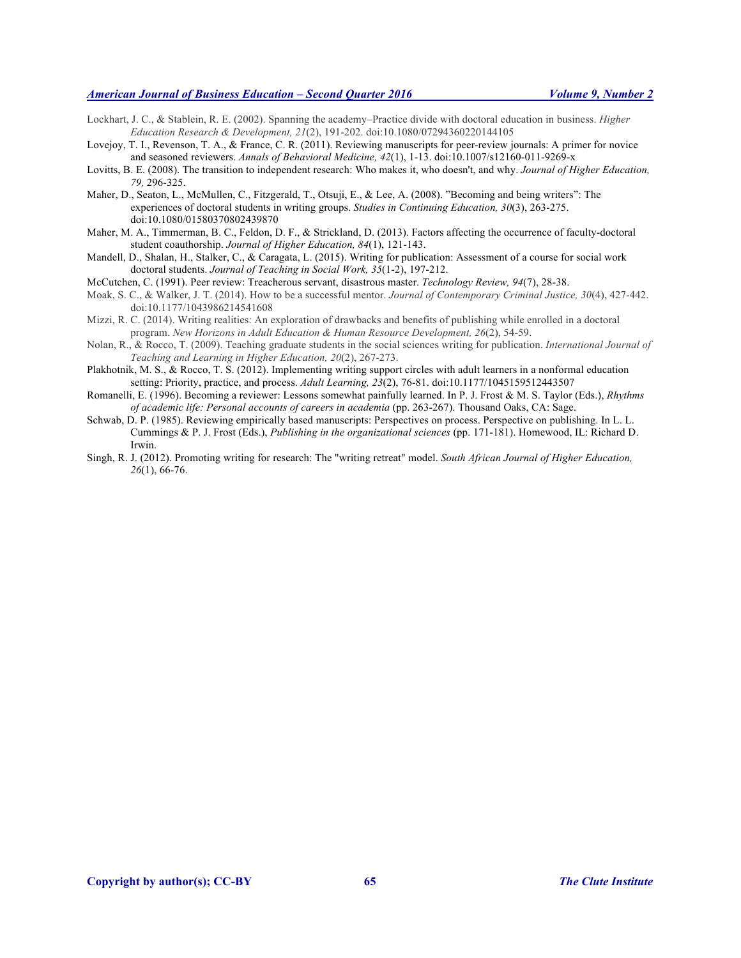- Lockhart, J. C., & Stablein, R. E. (2002). Spanning the academy–Practice divide with doctoral education in business. *Higher Education Research & Development, 21*(2), 191-202. doi:10.1080/07294360220144105
- Lovejoy, T. I., Revenson, T. A., & France, C. R. (2011). Reviewing manuscripts for peer-review journals: A primer for novice and seasoned reviewers. *Annals of Behavioral Medicine, 42*(1), 1-13. doi:10.1007/s12160-011-9269-x
- Lovitts, B. E. (2008). The transition to independent research: Who makes it, who doesn't, and why. *Journal of Higher Education, 79,* 296-325.
- Maher, D., Seaton, L., McMullen, C., Fitzgerald, T., Otsuji, E., & Lee, A. (2008). "Becoming and being writers": The experiences of doctoral students in writing groups. *Studies in Continuing Education, 30*(3), 263-275. doi:10.1080/01580370802439870
- Maher, M. A., Timmerman, B. C., Feldon, D. F., & Strickland, D. (2013). Factors affecting the occurrence of faculty-doctoral student coauthorship. *Journal of Higher Education, 84*(1), 121-143.
- Mandell, D., Shalan, H., Stalker, C., & Caragata, L. (2015). Writing for publication: Assessment of a course for social work doctoral students. *Journal of Teaching in Social Work, 35*(1-2), 197-212.
- McCutchen, C. (1991). Peer review: Treacherous servant, disastrous master. *Technology Review, 94*(7), 28-38.
- Moak, S. C., & Walker, J. T. (2014). How to be a successful mentor. *Journal of Contemporary Criminal Justice, 30*(4), 427-442. doi:10.1177/1043986214541608
- Mizzi, R. C. (2014). Writing realities: An exploration of drawbacks and benefits of publishing while enrolled in a doctoral program. *New Horizons in Adult Education & Human Resource Development, 26*(2), 54-59.
- Nolan, R., & Rocco, T. (2009). Teaching graduate students in the social sciences writing for publication. *International Journal of Teaching and Learning in Higher Education, 20*(2), 267-273.
- Plakhotnik, M. S., & Rocco, T. S. (2012). Implementing writing support circles with adult learners in a nonformal education setting: Priority, practice, and process. *Adult Learning, 23*(2), 76-81. doi:10.1177/1045159512443507
- Romanelli, E. (1996). Becoming a reviewer: Lessons somewhat painfully learned. In P. J. Frost & M. S. Taylor (Eds.), *Rhythms of academic life: Personal accounts of careers in academia* (pp. 263-267). Thousand Oaks, CA: Sage.
- Schwab, D. P. (1985). Reviewing empirically based manuscripts: Perspectives on process. Perspective on publishing. In L. L. Cummings & P. J. Frost (Eds.), *Publishing in the organizational sciences* (pp. 171-181). Homewood, IL: Richard D. Irwin.
- Singh, R. J. (2012). Promoting writing for research: The "writing retreat" model. *South African Journal of Higher Education, 26*(1), 66-76.